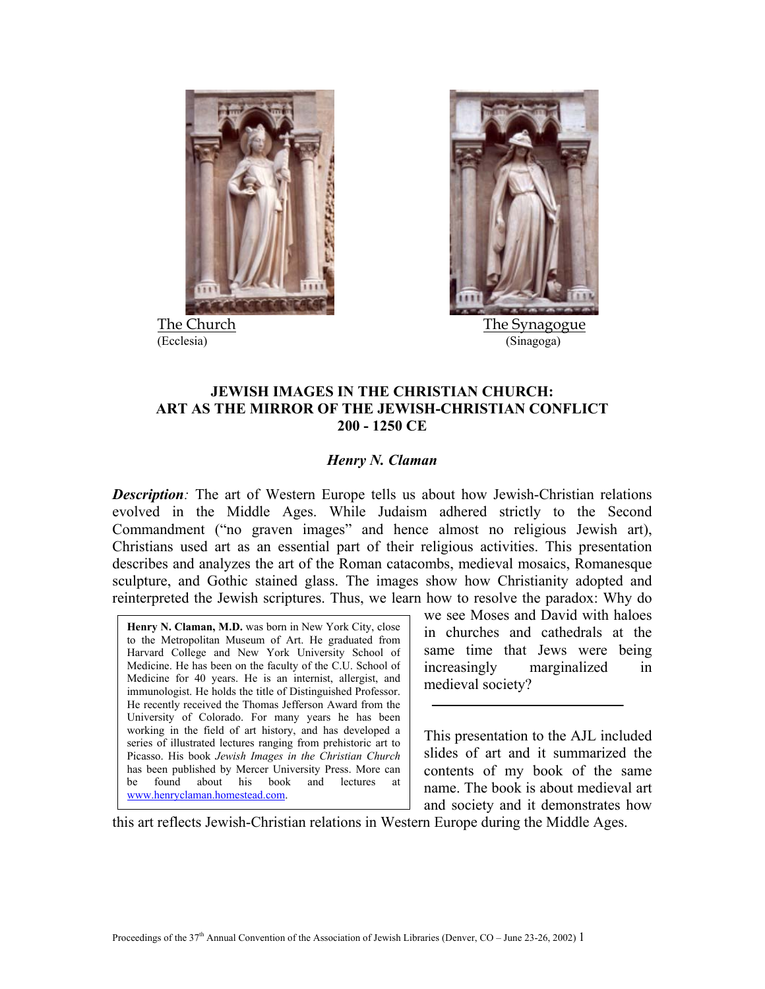

The Church (Ecclesia)



The Synagogue (Sinagoga)

## **JEWISH IMAGES IN THE CHRISTIAN CHURCH: ART AS THE MIRROR OF THE JEWISH-CHRISTIAN CONFLICT 200 - 1250 CE**

## *Henry N. Claman*

*Description:* The art of Western Europe tells us about how Jewish-Christian relations evolved in the Middle Ages. While Judaism adhered strictly to the Second Commandment ("no graven images" and hence almost no religious Jewish art), Christians used art as an essential part of their religious activities. This presentation describes and analyzes the art of the Roman catacombs, medieval mosaics, Romanesque sculpture, and Gothic stained glass. The images show how Christianity adopted and reinterpreted the Jewish scriptures. Thus, we learn how to resolve the paradox: Why do

**Henry N. Claman, M.D.** was born in New York City, close to the Metropolitan Museum of Art. He graduated from Harvard College and New York University School of Medicine. He has been on the faculty of the C.U. School of Medicine for 40 years. He is an internist, allergist, and immunologist. He holds the title of Distinguished Professor. He recently received the Thomas Jefferson Award from the University of Colorado. For many years he has been working in the field of art history, and has developed a series of illustrated lectures ranging from prehistoric art to Picasso. His book *Jewish Images in the Christian Church* has been published by Mercer University Press. More can be found about his book and lectures at www.henryclaman.homestead.com.

we see Moses and David with haloes in churches and cathedrals at the same time that Jews were being increasingly marginalized in medieval society?

This presentation to the AJL included slides of art and it summarized the contents of my book of the same name. The book is about medieval art and society and it demonstrates how

this art reflects Jewish-Christian relations in Western Europe during the Middle Ages.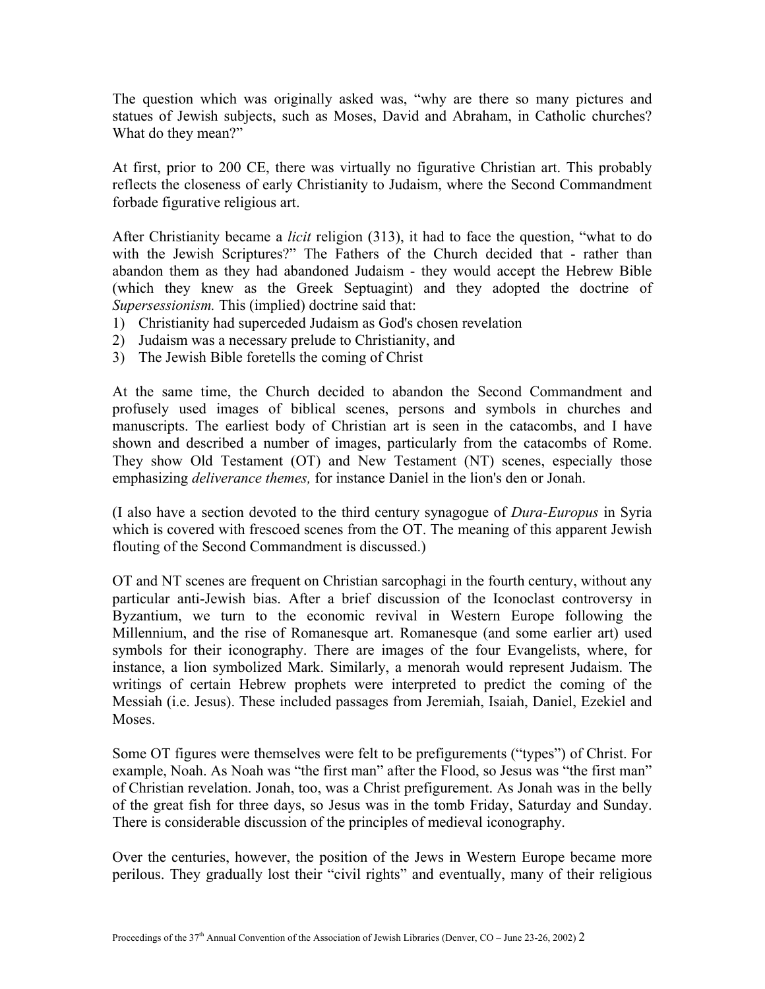The question which was originally asked was, "why are there so many pictures and statues of Jewish subjects, such as Moses, David and Abraham, in Catholic churches? What do they mean?"

At first, prior to 200 CE, there was virtually no figurative Christian art. This probably reflects the closeness of early Christianity to Judaism, where the Second Commandment forbade figurative religious art.

After Christianity became a *licit* religion (313), it had to face the question, "what to do with the Jewish Scriptures?" The Fathers of the Church decided that - rather than abandon them as they had abandoned Judaism - they would accept the Hebrew Bible (which they knew as the Greek Septuagint) and they adopted the doctrine of *Supersessionism.* This (implied) doctrine said that:

- 1) Christianity had superceded Judaism as God's chosen revelation
- 2) Judaism was a necessary prelude to Christianity, and
- 3) The Jewish Bible foretells the coming of Christ

At the same time, the Church decided to abandon the Second Commandment and profusely used images of biblical scenes, persons and symbols in churches and manuscripts. The earliest body of Christian art is seen in the catacombs, and I have shown and described a number of images, particularly from the catacombs of Rome. They show Old Testament (OT) and New Testament (NT) scenes, especially those emphasizing *deliverance themes,* for instance Daniel in the lion's den or Jonah.

(I also have a section devoted to the third century synagogue of *Dura-Europus* in Syria which is covered with frescoed scenes from the OT. The meaning of this apparent Jewish flouting of the Second Commandment is discussed.)

OT and NT scenes are frequent on Christian sarcophagi in the fourth century, without any particular anti-Jewish bias. After a brief discussion of the Iconoclast controversy in Byzantium, we turn to the economic revival in Western Europe following the Millennium, and the rise of Romanesque art. Romanesque (and some earlier art) used symbols for their iconography. There are images of the four Evangelists, where, for instance, a lion symbolized Mark. Similarly, a menorah would represent Judaism. The writings of certain Hebrew prophets were interpreted to predict the coming of the Messiah (i.e. Jesus). These included passages from Jeremiah, Isaiah, Daniel, Ezekiel and **Moses** 

Some OT figures were themselves were felt to be prefigurements ("types") of Christ. For example, Noah. As Noah was "the first man" after the Flood, so Jesus was "the first man" of Christian revelation. Jonah, too, was a Christ prefigurement. As Jonah was in the belly of the great fish for three days, so Jesus was in the tomb Friday, Saturday and Sunday. There is considerable discussion of the principles of medieval iconography.

Over the centuries, however, the position of the Jews in Western Europe became more perilous. They gradually lost their "civil rights" and eventually, many of their religious